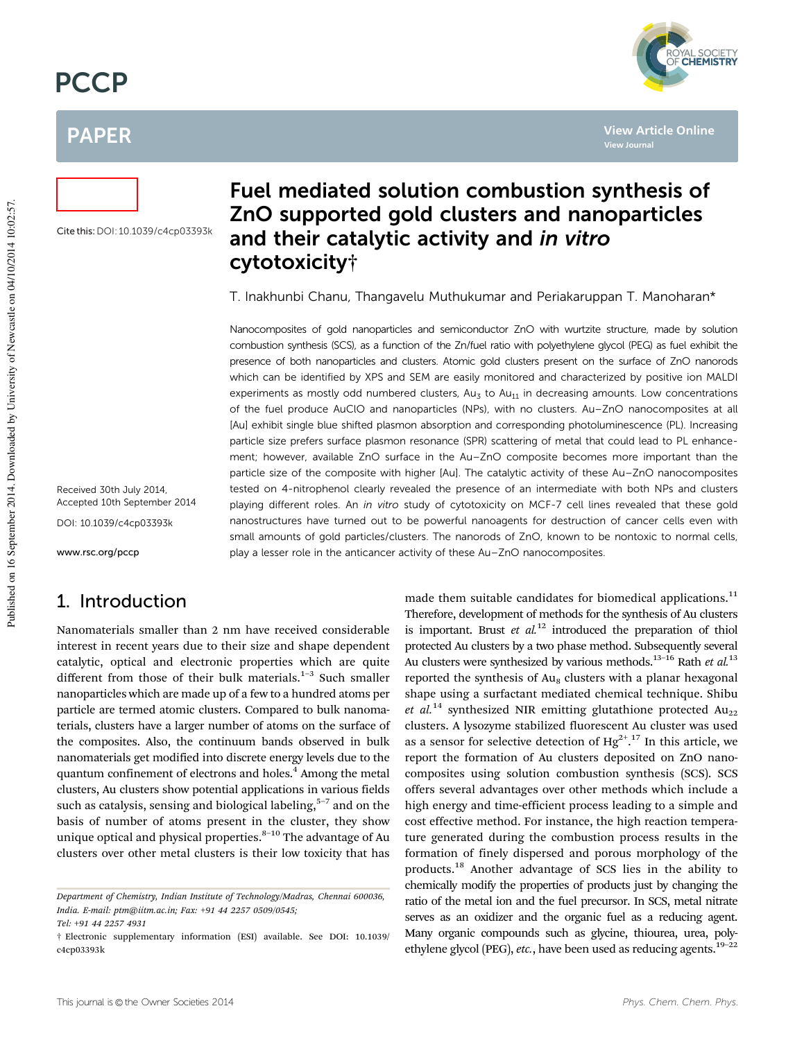# **PCCP**

# PAPER



**View Article Online**

**View Journal**

Cite this:DOI: 10.1039/c4cp03393k

# Fuel mediated solution combustion synthesis of ZnO supported gold clusters and nanoparticles and their catalytic activity and in vitro cytotoxicity†

T. Inakhunbi Chanu, Thangavelu Muthukumar and Periakaruppan T. Manoharan\*

Nanocomposites of gold nanoparticles and semiconductor ZnO with wurtzite structure, made by solution combustion synthesis (SCS), as a function of the Zn/fuel ratio with polyethylene glycol (PEG) as fuel exhibit the presence of both nanoparticles and clusters. Atomic gold clusters present on the surface of ZnO nanorods which can be identified by XPS and SEM are easily monitored and characterized by positive ion MALDI experiments as mostly odd numbered clusters,  $Au_3$  to  $Au_{11}$  in decreasing amounts. Low concentrations of the fuel produce AuClO and nanoparticles (NPs), with no clusters. Au–ZnO nanocomposites at all [Au] exhibit single blue shifted plasmon absorption and corresponding photoluminescence (PL). Increasing particle size prefers surface plasmon resonance (SPR) scattering of metal that could lead to PL enhancement; however, available ZnO surface in the Au–ZnO composite becomes more important than the particle size of the composite with higher [Au]. The catalytic activity of these Au–ZnO nanocomposites tested on 4-nitrophenol clearly revealed the presence of an intermediate with both NPs and clusters playing different roles. An in vitro study of cytotoxicity on MCF-7 cell lines revealed that these gold nanostructures have turned out to be powerful nanoagents for destruction of cancer cells even with small amounts of gold particles/clusters. The nanorods of ZnO, known to be nontoxic to normal cells, play a lesser role in the anticancer activity of these Au–ZnO nanocomposites.

Received 30th July 2014, Accepted 10th September 2014

DOI: 10.1039/c4cp03393k

www.rsc.org/pccp

# 1. Introduction

Nanomaterials smaller than 2 nm have received considerable interest in recent years due to their size and shape dependent catalytic, optical and electronic properties which are quite different from those of their bulk materials. $1-3$  Such smaller nanoparticles which are made up of a few to a hundred atoms per particle are termed atomic clusters. Compared to bulk nanomaterials, clusters have a larger number of atoms on the surface of the composites. Also, the continuum bands observed in bulk nanomaterials get modified into discrete energy levels due to the quantum confinement of electrons and holes.<sup>4</sup> Among the metal clusters, Au clusters show potential applications in various fields such as catalysis, sensing and biological labeling, $5-7$  and on the basis of number of atoms present in the cluster, they show unique optical and physical properties. $8-10$  The advantage of Au clusters over other metal clusters is their low toxicity that has

made them suitable candidates for biomedical applications.<sup>11</sup> Therefore, development of methods for the synthesis of Au clusters is important. Brust *et al.*<sup>12</sup> introduced the preparation of thiol protected Au clusters by a two phase method. Subsequently several Au clusters were synthesized by various methods.13–16 Rath *et al.*<sup>13</sup> reported the synthesis of  $Au_8$  clusters with a planar hexagonal shape using a surfactant mediated chemical technique. Shibu *et al.*<sup>14</sup> synthesized NIR emitting glutathione protected  $Au_{22}$ clusters. A lysozyme stabilized fluorescent Au cluster was used as a sensor for selective detection of  $Hg^{2+17}$  In this article, we report the formation of Au clusters deposited on ZnO nanocomposites using solution combustion synthesis (SCS). SCS offers several advantages over other methods which include a high energy and time-efficient process leading to a simple and cost effective method. For instance, the high reaction temperature generated during the combustion process results in the formation of finely dispersed and porous morphology of the products.<sup>18</sup> Another advantage of SCS lies in the ability to chemically modify the properties of products just by changing the ratio of the metal ion and the fuel precursor. In SCS, metal nitrate serves as an oxidizer and the organic fuel as a reducing agent. Many organic compounds such as glycine, thiourea, urea, polyethylene glycol (PEG), etc., have been used as reducing agents.<sup>19-22</sup>

*Department of Chemistry, Indian Institute of Technology/Madras, Chennai 600036, India. E-mail: ptm@iitm.ac.in; Fax:* +*91 44 2257 0509/0545;*

*Tel:* +*91 44 2257 4931*

<sup>†</sup> Electronic supplementary information (ESI) available. See DOI: 10.1039/ c4cp03393k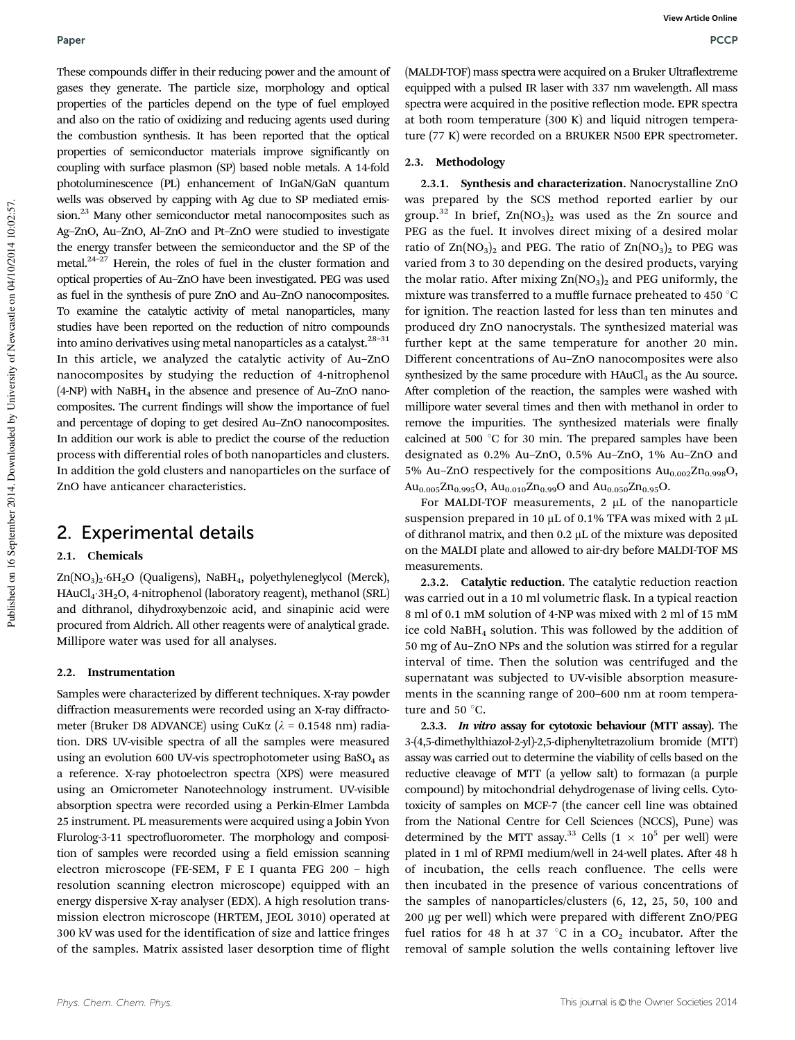These compounds differ in their reducing power and the amount of gases they generate. The particle size, morphology and optical properties of the particles depend on the type of fuel employed and also on the ratio of oxidizing and reducing agents used during the combustion synthesis. It has been reported that the optical properties of semiconductor materials improve significantly on coupling with surface plasmon (SP) based noble metals. A 14-fold photoluminescence (PL) enhancement of InGaN/GaN quantum wells was observed by capping with Ag due to SP mediated emission.<sup>23</sup> Many other semiconductor metal nanocomposites such as Ag–ZnO, Au–ZnO, Al–ZnO and Pt–ZnO were studied to investigate the energy transfer between the semiconductor and the SP of the metal. $24-27$  Herein, the roles of fuel in the cluster formation and optical properties of Au–ZnO have been investigated. PEG was used as fuel in the synthesis of pure ZnO and Au–ZnO nanocomposites. To examine the catalytic activity of metal nanoparticles, many studies have been reported on the reduction of nitro compounds into amino derivatives using metal nanoparticles as a catalyst.  $28-31$ In this article, we analyzed the catalytic activity of Au–ZnO nanocomposites by studying the reduction of 4-nitrophenol  $(4-NP)$  with NaBH<sub>4</sub> in the absence and presence of Au–ZnO nanocomposites. The current findings will show the importance of fuel and percentage of doping to get desired Au–ZnO nanocomposites. In addition our work is able to predict the course of the reduction process with differential roles of both nanoparticles and clusters. In addition the gold clusters and nanoparticles on the surface of ZnO have anticancer characteristics.

### 2. Experimental details

#### 2.1. Chemicals

Zn(NO<sub>3</sub>)<sub>2</sub>·6H<sub>2</sub>O (Qualigens), NaBH<sub>4</sub>, polyethyleneglycol (Merck), HAuCl4-3H2O, 4-nitrophenol (laboratory reagent), methanol (SRL) and dithranol, dihydroxybenzoic acid, and sinapinic acid were procured from Aldrich. All other reagents were of analytical grade. Millipore water was used for all analyses.

#### 2.2. Instrumentation

Samples were characterized by different techniques. X-ray powder diffraction measurements were recorded using an X-ray diffractometer (Bruker D8 ADVANCE) using CuK $\alpha$  ( $\lambda$  = 0.1548 nm) radiation. DRS UV-visible spectra of all the samples were measured using an evolution 600 UV-vis spectrophotometer using  $BaSO<sub>4</sub>$  as a reference. X-ray photoelectron spectra (XPS) were measured using an Omicrometer Nanotechnology instrument. UV-visible absorption spectra were recorded using a Perkin-Elmer Lambda 25 instrument. PL measurements were acquired using a Jobin Yvon Flurolog-3-11 spectrofluorometer. The morphology and composition of samples were recorded using a field emission scanning electron microscope (FE-SEM, F E I quanta FEG 200 – high resolution scanning electron microscope) equipped with an energy dispersive X-ray analyser (EDX). A high resolution transmission electron microscope (HRTEM, JEOL 3010) operated at 300 kV was used for the identification of size and lattice fringes of the samples. Matrix assisted laser desorption time of flight

(MALDI-TOF) mass spectra were acquired on a Bruker Ultraflextreme equipped with a pulsed IR laser with 337 nm wavelength. All mass spectra were acquired in the positive reflection mode. EPR spectra at both room temperature (300 K) and liquid nitrogen temperature (77 K) were recorded on a BRUKER N500 EPR spectrometer.

#### 2.3. Methodology

2.3.1. Synthesis and characterization. Nanocrystalline ZnO was prepared by the SCS method reported earlier by our group.<sup>32</sup> In brief,  $\text{Zn}(\text{NO}_3)_{2}$  was used as the Zn source and PEG as the fuel. It involves direct mixing of a desired molar ratio of  $\text{Zn}(\text{NO}_3)_2$  and PEG. The ratio of  $\text{Zn}(\text{NO}_3)_2$  to PEG was varied from 3 to 30 depending on the desired products, varying the molar ratio. After mixing  $Zn(NO<sub>3</sub>)<sub>2</sub>$  and PEG uniformly, the mixture was transferred to a muffle furnace preheated to 450  $^{\circ}$ C for ignition. The reaction lasted for less than ten minutes and produced dry ZnO nanocrystals. The synthesized material was further kept at the same temperature for another 20 min. Different concentrations of Au–ZnO nanocomposites were also synthesized by the same procedure with  $HAuCl<sub>4</sub>$  as the Au source. After completion of the reaction, the samples were washed with millipore water several times and then with methanol in order to remove the impurities. The synthesized materials were finally calcined at 500  $\degree$ C for 30 min. The prepared samples have been designated as 0.2% Au–ZnO, 0.5% Au–ZnO, 1% Au–ZnO and 5% Au–ZnO respectively for the compositions  $Au_{0.002}Zn_{0.998}O$ , Au<sub>0.005</sub>Zn<sub>0.995</sub>O, Au<sub>0.010</sub>Zn<sub>0.99</sub>O and Au<sub>0.050</sub>Zn<sub>0.95</sub>O.

For MALDI-TOF measurements,  $2 \mu L$  of the nanoparticle suspension prepared in 10  $\mu$ L of 0.1% TFA was mixed with 2  $\mu$ L of dithranol matrix, and then  $0.2 \mu L$  of the mixture was deposited on the MALDI plate and allowed to air-dry before MALDI-TOF MS measurements.

2.3.2. Catalytic reduction. The catalytic reduction reaction was carried out in a 10 ml volumetric flask. In a typical reaction 8 ml of 0.1 mM solution of 4-NP was mixed with 2 ml of 15 mM ice cold NaBH<sup>4</sup> solution. This was followed by the addition of 50 mg of Au–ZnO NPs and the solution was stirred for a regular interval of time. Then the solution was centrifuged and the supernatant was subjected to UV-visible absorption measurements in the scanning range of 200–600 nm at room temperature and 50 $\degree$ C.

2.3.3. In vitro assay for cytotoxic behaviour (MTT assay). The 3-(4,5-dimethylthiazol-2-yl)-2,5-diphenyltetrazolium bromide (MTT) assay was carried out to determine the viability of cells based on the reductive cleavage of MTT (a yellow salt) to formazan (a purple compound) by mitochondrial dehydrogenase of living cells. Cytotoxicity of samples on MCF-7 (the cancer cell line was obtained from the National Centre for Cell Sciences (NCCS), Pune) was determined by the MTT assay.<sup>33</sup> Cells  $(1 \times 10^5$  per well) were plated in 1 ml of RPMI medium/well in 24-well plates. After 48 h of incubation, the cells reach confluence. The cells were then incubated in the presence of various concentrations of the samples of nanoparticles/clusters (6, 12, 25, 50, 100 and 200 mg per well) which were prepared with different ZnO/PEG fuel ratios for 48 h at 37  $^{\circ}$ C in a CO<sub>2</sub> incubator. After the removal of sample solution the wells containing leftover live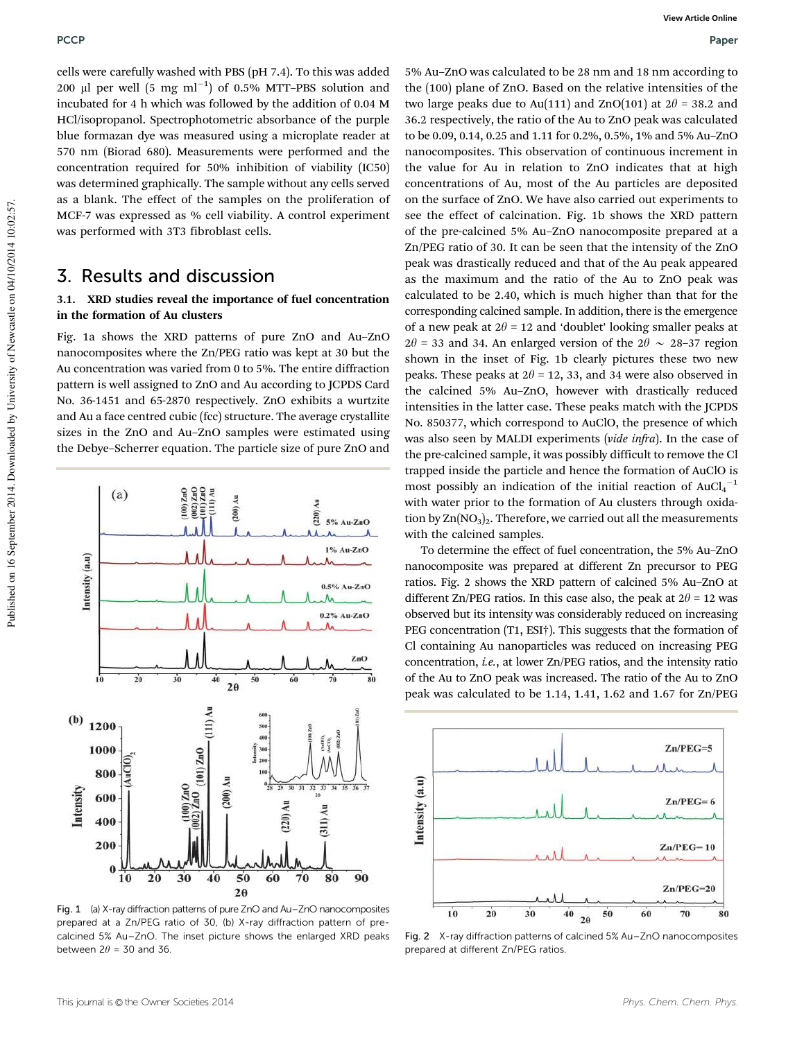cells were carefully washed with PBS (pH 7.4). To this was added 200 µl per well  $(5 \text{ mg ml}^{-1})$  of 0.5% MTT-PBS solution and incubated for 4 h which was followed by the addition of 0.04 M HCl/isopropanol. Spectrophotometric absorbance of the purple blue formazan dye was measured using a microplate reader at 570 nm (Biorad 680). Measurements were performed and the concentration required for 50% inhibition of viability (IC50) was determined graphically. The sample without any cells served as a blank. The effect of the samples on the proliferation of MCF-7 was expressed as % cell viability. A control experiment was performed with 3T3 fibroblast cells.

# 3. Results and discussion

### 3.1. XRD studies reveal the importance of fuel concentration in the formation of Au clusters

Fig. 1a shows the XRD patterns of pure ZnO and Au–ZnO nanocomposites where the Zn/PEG ratio was kept at 30 but the Au concentration was varied from 0 to 5%. The entire diffraction pattern is well assigned to ZnO and Au according to JCPDS Card No. 36-1451 and 65-2870 respectively. ZnO exhibits a wurtzite and Au a face centred cubic (fcc) structure. The average crystallite sizes in the ZnO and Au–ZnO samples were estimated using the Debye–Scherrer equation. The particle size of pure ZnO and



Fig. 1 (a) X-ray diffraction patterns of pure ZnO and Au–ZnO nanocomposites prepared at a Zn/PEG ratio of 30, (b) X-ray diffraction pattern of precalcined 5% Au–ZnO. The inset picture shows the enlarged XRD peaks between  $2\theta = 30$  and 36

5% Au–ZnO was calculated to be 28 nm and 18 nm according to the (100) plane of ZnO. Based on the relative intensities of the two large peaks due to Au(111) and ZnO(101) at  $2\theta = 38.2$  and 36.2 respectively, the ratio of the Au to ZnO peak was calculated to be 0.09, 0.14, 0.25 and 1.11 for 0.2%, 0.5%, 1% and 5% Au–ZnO nanocomposites. This observation of continuous increment in the value for Au in relation to ZnO indicates that at high concentrations of Au, most of the Au particles are deposited on the surface of ZnO. We have also carried out experiments to see the effect of calcination. Fig. 1b shows the XRD pattern of the pre-calcined 5% Au–ZnO nanocomposite prepared at a Zn/PEG ratio of 30. It can be seen that the intensity of the ZnO peak was drastically reduced and that of the Au peak appeared as the maximum and the ratio of the Au to ZnO peak was calculated to be 2.40, which is much higher than that for the corresponding calcined sample. In addition, there is the emergence of a new peak at  $2\theta = 12$  and 'doublet' looking smaller peaks at  $2\theta$  = 33 and 34. An enlarged version of the  $2\theta \sim 28-37$  region shown in the inset of Fig. 1b clearly pictures these two new peaks. These peaks at  $2\theta = 12$ , 33, and 34 were also observed in the calcined 5% Au–ZnO, however with drastically reduced intensities in the latter case. These peaks match with the JCPDS No. 850377, which correspond to AuClO, the presence of which was also seen by MALDI experiments (*vide infra*). In the case of the pre-calcined sample, it was possibly difficult to remove the Cl trapped inside the particle and hence the formation of AuClO is most possibly an indication of the initial reaction of  $AuCl<sub>4</sub><sup>-1</sup>$ with water prior to the formation of Au clusters through oxidation by  $\text{Zn}(\text{NO}_3)_2$ . Therefore, we carried out all the measurements with the calcined samples.

To determine the effect of fuel concentration, the 5% Au–ZnO nanocomposite was prepared at different Zn precursor to PEG ratios. Fig. 2 shows the XRD pattern of calcined 5% Au–ZnO at different Zn/PEG ratios. In this case also, the peak at  $2\theta = 12$  was observed but its intensity was considerably reduced on increasing PEG concentration (T1, ESI<sup>†</sup>). This suggests that the formation of Cl containing Au nanoparticles was reduced on increasing PEG concentration, *i.e.*, at lower Zn/PEG ratios, and the intensity ratio of the Au to ZnO peak was increased. The ratio of the Au to ZnO peak was calculated to be 1.14, 1.41, 1.62 and 1.67 for Zn/PEG



Fig. 2 X-ray diffraction patterns of calcined 5% Au–ZnO nanocomposites prepared at different Zn/PEG ratios.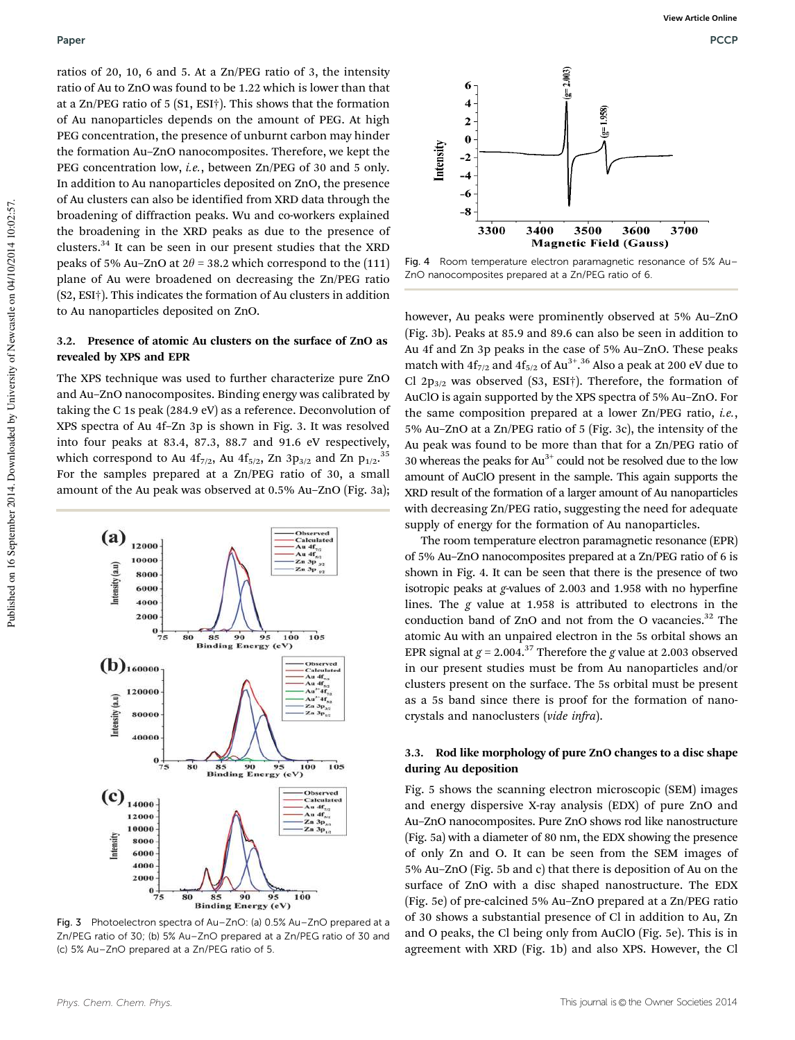ratios of 20, 10, 6 and 5. At a Zn/PEG ratio of 3, the intensity ratio of Au to ZnO was found to be 1.22 which is lower than that at a Zn/PEG ratio of 5 (S1, ESI†). This shows that the formation of Au nanoparticles depends on the amount of PEG. At high PEG concentration, the presence of unburnt carbon may hinder the formation Au–ZnO nanocomposites. Therefore, we kept the PEG concentration low, *i.e.*, between Zn/PEG of 30 and 5 only. In addition to Au nanoparticles deposited on ZnO, the presence of Au clusters can also be identified from XRD data through the broadening of diffraction peaks. Wu and co-workers explained the broadening in the XRD peaks as due to the presence of clusters.<sup>34</sup> It can be seen in our present studies that the XRD peaks of 5% Au–ZnO at  $2\theta$  = 38.2 which correspond to the (111) plane of Au were broadened on decreasing the Zn/PEG ratio (S2, ESI†). This indicates the formation of Au clusters in addition to Au nanoparticles deposited on ZnO.

#### 3.2. Presence of atomic Au clusters on the surface of ZnO as revealed by XPS and EPR

The XPS technique was used to further characterize pure ZnO and Au–ZnO nanocomposites. Binding energy was calibrated by taking the C 1s peak (284.9 eV) as a reference. Deconvolution of XPS spectra of Au 4f–Zn 3p is shown in Fig. 3. It was resolved into four peaks at 83.4, 87.3, 88.7 and 91.6 eV respectively, which correspond to Au  $4f_{7/2}$ , Au  $4f_{5/2}$ , Zn  $3p_{3/2}$  and Zn  $p_{1/2}$ .<sup>35</sup> For the samples prepared at a Zn/PEG ratio of 30, a small amount of the Au peak was observed at 0.5% Au–ZnO (Fig. 3a);



Fig. 3 Photoelectron spectra of Au–ZnO: (a) 0.5% Au–ZnO prepared at a Zn/PEG ratio of 30; (b) 5% Au–ZnO prepared at a Zn/PEG ratio of 30 and (c) 5% Au–ZnO prepared at a Zn/PEG ratio of 5.



Fig. 4 Room temperature electron paramagnetic resonance of 5% Au– ZnO nanocomposites prepared at a Zn/PEG ratio of 6.

however, Au peaks were prominently observed at 5% Au–ZnO (Fig. 3b). Peaks at 85.9 and 89.6 can also be seen in addition to Au 4f and Zn 3p peaks in the case of 5% Au–ZnO. These peaks match with  $4f_{7/2}$  and  $4f_{5/2}$  of Au<sup>3+</sup>.<sup>36</sup> Also a peak at 200 eV due to Cl  $2p_{3/2}$  was observed (S3, ESI†). Therefore, the formation of AuClO is again supported by the XPS spectra of 5% Au–ZnO. For the same composition prepared at a lower Zn/PEG ratio, *i.e.*, 5% Au–ZnO at a Zn/PEG ratio of 5 (Fig. 3c), the intensity of the Au peak was found to be more than that for a Zn/PEG ratio of 30 whereas the peaks for  $Au^{3+}$  could not be resolved due to the low amount of AuClO present in the sample. This again supports the XRD result of the formation of a larger amount of Au nanoparticles with decreasing Zn/PEG ratio, suggesting the need for adequate supply of energy for the formation of Au nanoparticles.

The room temperature electron paramagnetic resonance (EPR) of 5% Au–ZnO nanocomposites prepared at a Zn/PEG ratio of 6 is shown in Fig. 4. It can be seen that there is the presence of two isotropic peaks at *g*-values of 2.003 and 1.958 with no hyperfine lines. The *g* value at 1.958 is attributed to electrons in the conduction band of ZnO and not from the O vacancies. $32$  The atomic Au with an unpaired electron in the 5s orbital shows an EPR signal at  $g = 2.004$ .<sup>37</sup> Therefore the *g* value at 2.003 observed in our present studies must be from Au nanoparticles and/or clusters present on the surface. The 5s orbital must be present as a 5s band since there is proof for the formation of nanocrystals and nanoclusters (*vide infra*).

#### 3.3. Rod like morphology of pure ZnO changes to a disc shape during Au deposition

Fig. 5 shows the scanning electron microscopic (SEM) images and energy dispersive X-ray analysis (EDX) of pure ZnO and Au–ZnO nanocomposites. Pure ZnO shows rod like nanostructure (Fig. 5a) with a diameter of 80 nm, the EDX showing the presence of only Zn and O. It can be seen from the SEM images of 5% Au–ZnO (Fig. 5b and c) that there is deposition of Au on the surface of ZnO with a disc shaped nanostructure. The EDX (Fig. 5e) of pre-calcined 5% Au–ZnO prepared at a Zn/PEG ratio of 30 shows a substantial presence of Cl in addition to Au, Zn and O peaks, the Cl being only from AuClO (Fig. 5e). This is in agreement with XRD (Fig. 1b) and also XPS. However, the Cl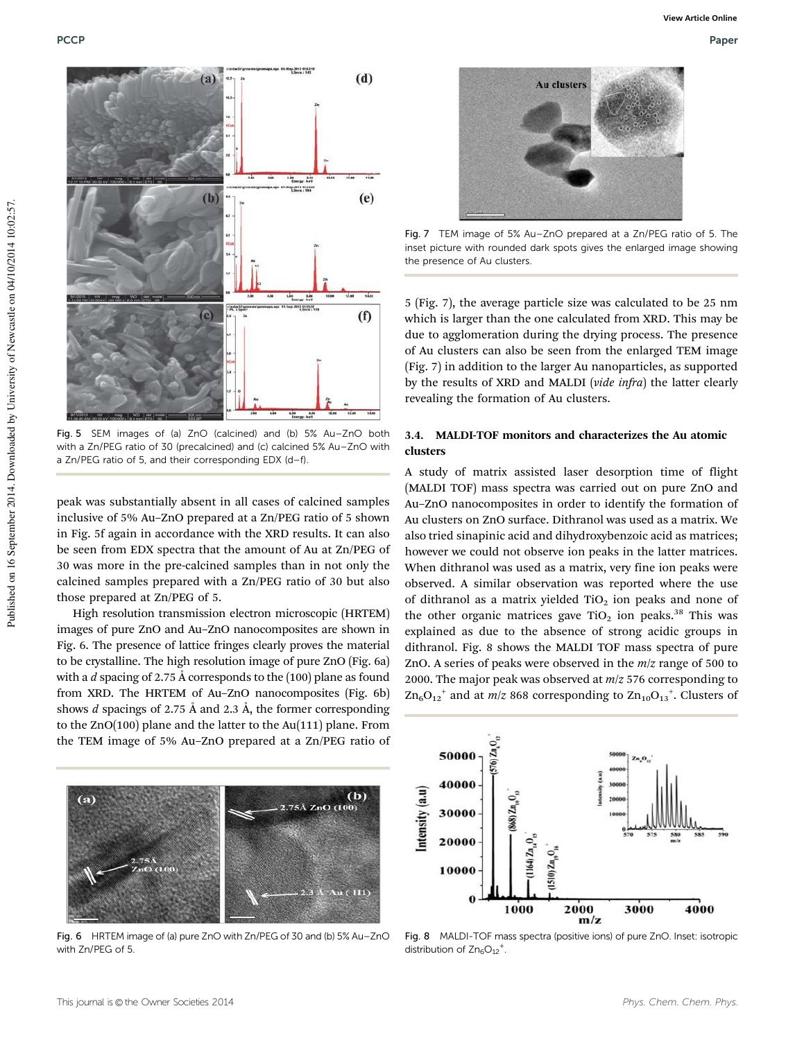

Fig. 5 SEM images of (a) ZnO (calcined) and (b) 5% Au–ZnO both with a Zn/PEG ratio of 30 (precalcined) and (c) calcined 5% Au–ZnO with a Zn/PEG ratio of 5, and their corresponding EDX (d–f).

peak was substantially absent in all cases of calcined samples inclusive of 5% Au–ZnO prepared at a Zn/PEG ratio of 5 shown in Fig. 5f again in accordance with the XRD results. It can also be seen from EDX spectra that the amount of Au at Zn/PEG of 30 was more in the pre-calcined samples than in not only the calcined samples prepared with a Zn/PEG ratio of 30 but also those prepared at Zn/PEG of 5.

High resolution transmission electron microscopic (HRTEM) images of pure ZnO and Au–ZnO nanocomposites are shown in Fig. 6. The presence of lattice fringes clearly proves the material to be crystalline. The high resolution image of pure ZnO (Fig. 6a) with a *d* spacing of 2.75 Å corresponds to the (100) plane as found from XRD. The HRTEM of Au–ZnO nanocomposites (Fig. 6b) shows *d* spacings of 2.75 Å and 2.3 Å, the former corresponding to the ZnO(100) plane and the latter to the Au(111) plane. From the TEM image of 5% Au–ZnO prepared at a Zn/PEG ratio of



Fig. 7 TEM image of 5% Au–ZnO prepared at a Zn/PEG ratio of 5. The inset picture with rounded dark spots gives the enlarged image showing the presence of Au clusters.

5 (Fig. 7), the average particle size was calculated to be 25 nm which is larger than the one calculated from XRD. This may be due to agglomeration during the drying process. The presence of Au clusters can also be seen from the enlarged TEM image (Fig. 7) in addition to the larger Au nanoparticles, as supported by the results of XRD and MALDI (*vide infra*) the latter clearly revealing the formation of Au clusters.

#### 3.4. MALDI-TOF monitors and characterizes the Au atomic clusters

A study of matrix assisted laser desorption time of flight (MALDI TOF) mass spectra was carried out on pure ZnO and Au–ZnO nanocomposites in order to identify the formation of Au clusters on ZnO surface. Dithranol was used as a matrix. We also tried sinapinic acid and dihydroxybenzoic acid as matrices; however we could not observe ion peaks in the latter matrices. When dithranol was used as a matrix, very fine ion peaks were observed. A similar observation was reported where the use of dithranol as a matrix yielded  $TiO<sub>2</sub>$  ion peaks and none of the other organic matrices gave  $TiO<sub>2</sub>$  ion peaks.<sup>38</sup> This was explained as due to the absence of strong acidic groups in dithranol. Fig. 8 shows the MALDI TOF mass spectra of pure ZnO. A series of peaks were observed in the *m*/*z* range of 500 to 2000. The major peak was observed at *m*/*z* 576 corresponding to  $\text{Zn}_6\text{O}_{12}^{\text{+}}$  and at *m*/*z* 868 corresponding to  $\text{Zn}_{10}\text{O}_{13}^{\text{+}}$ . Clusters of



Fig. 6 HRTEM image of (a) pure ZnO with Zn/PEG of 30 and (b) 5% Au–ZnO with Zn/PEG of 5.



Fig. 8 MALDI-TOF mass spectra (positive ions) of pure ZnO. Inset: isotropic distribution of  $Zn_6O_{12}$ <sup>+</sup>.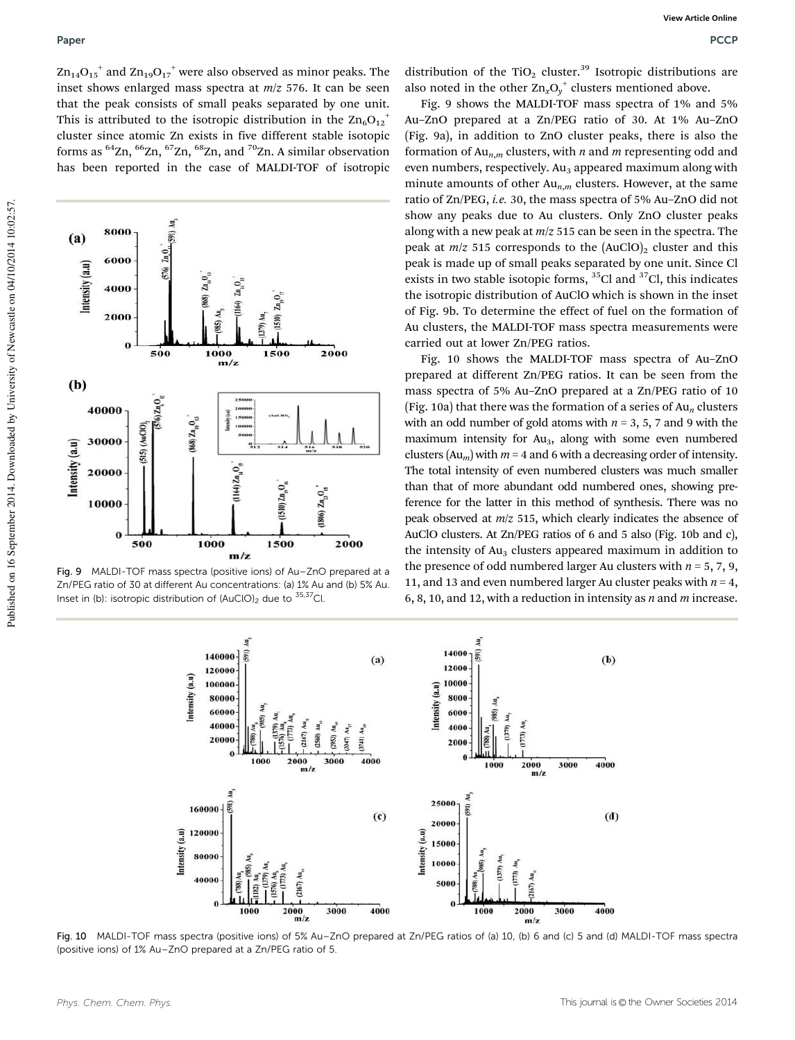$\mathrm{Zn_{14}O_{15}}^+$  and  $\mathrm{Zn_{19}O_{17}}^+$  were also observed as minor peaks. The inset shows enlarged mass spectra at *m*/*z* 576. It can be seen that the peak consists of small peaks separated by one unit. This is attributed to the isotropic distribution in the  $\mathrm{Zn_6O_{12}}^+$ cluster since atomic Zn exists in five different stable isotopic forms as <sup>64</sup>Zn, <sup>66</sup>Zn, <sup>67</sup>Zn, <sup>68</sup>Zn, and <sup>70</sup>Zn. A similar observation has been reported in the case of MALDI-TOF of isotropic



Fig. 9 MALDI-TOF mass spectra (positive ions) of Au–ZnO prepared at a Zn/PEG ratio of 30 at different Au concentrations: (a) 1% Au and (b) 5% Au. Inset in (b): isotropic distribution of  $(AuClO)_2$  due to  $35,37Cl$ .

distribution of the TiO<sub>2</sub> cluster.<sup>39</sup> Isotropic distributions are also noted in the other  $\text{Zn}_x\text{O}_y^+$  clusters mentioned above.

Fig. 9 shows the MALDI-TOF mass spectra of 1% and 5% Au–ZnO prepared at a Zn/PEG ratio of 30. At 1% Au–ZnO (Fig. 9a), in addition to ZnO cluster peaks, there is also the formation of Au*n*,*<sup>m</sup>* clusters, with *n* and *m* representing odd and even numbers, respectively.  $Au<sub>3</sub>$  appeared maximum along with minute amounts of other Au*n*,*<sup>m</sup>* clusters. However, at the same ratio of Zn/PEG, *i.e.* 30, the mass spectra of 5% Au–ZnO did not show any peaks due to Au clusters. Only ZnO cluster peaks along with a new peak at *m*/*z* 515 can be seen in the spectra. The peak at  $m/z$  515 corresponds to the  $(AuClO)_2$  cluster and this peak is made up of small peaks separated by one unit. Since Cl exists in two stable isotopic forms,  ${}^{35}$ Cl and  ${}^{37}$ Cl, this indicates the isotropic distribution of AuClO which is shown in the inset of Fig. 9b. To determine the effect of fuel on the formation of Au clusters, the MALDI-TOF mass spectra measurements were carried out at lower Zn/PEG ratios.

Fig. 10 shows the MALDI-TOF mass spectra of Au–ZnO prepared at different Zn/PEG ratios. It can be seen from the mass spectra of 5% Au–ZnO prepared at a Zn/PEG ratio of 10 (Fig. 10a) that there was the formation of a series of Au*<sup>n</sup>* clusters with an odd number of gold atoms with  $n = 3, 5, 7$  and 9 with the maximum intensity for  $Au<sub>3</sub>$ , along with some even numbered clusters  $(Au_m)$  with  $m = 4$  and 6 with a decreasing order of intensity. The total intensity of even numbered clusters was much smaller than that of more abundant odd numbered ones, showing preference for the latter in this method of synthesis. There was no peak observed at *m*/*z* 515, which clearly indicates the absence of AuClO clusters. At Zn/PEG ratios of 6 and 5 also (Fig. 10b and c), the intensity of  $Au<sub>3</sub>$  clusters appeared maximum in addition to the presence of odd numbered larger Au clusters with  $n = 5, 7, 9$ , 11, and 13 and even numbered larger Au cluster peaks with  $n = 4$ , 6, 8, 10, and 12, with a reduction in intensity as *n* and *m* increase.



Fig. 10 MALDI-TOF mass spectra (positive ions) of 5% Au–ZnO prepared at Zn/PEG ratios of (a) 10, (b) 6 and (c) 5 and (d) MALDI-TOF mass spectra (positive ions) of 1% Au–ZnO prepared at a Zn/PEG ratio of 5.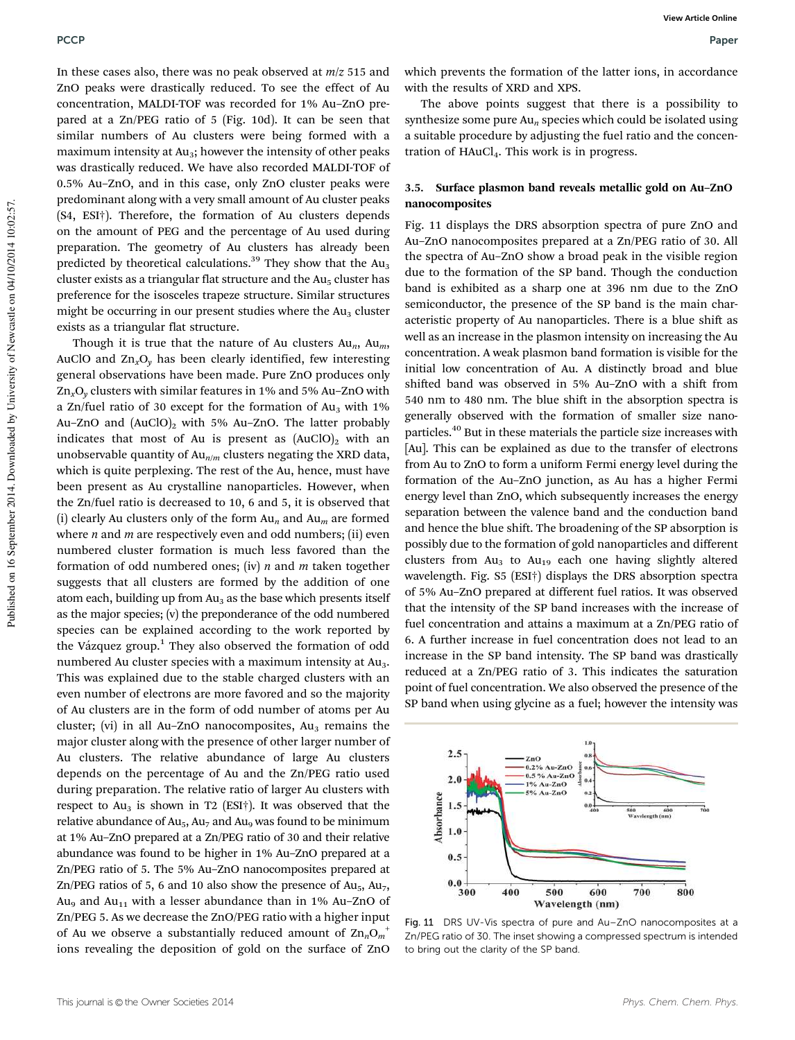In these cases also, there was no peak observed at *m*/*z* 515 and ZnO peaks were drastically reduced. To see the effect of Au concentration, MALDI-TOF was recorded for 1% Au–ZnO prepared at a Zn/PEG ratio of 5 (Fig. 10d). It can be seen that similar numbers of Au clusters were being formed with a maximum intensity at  $Au_3$ ; however the intensity of other peaks was drastically reduced. We have also recorded MALDI-TOF of 0.5% Au–ZnO, and in this case, only ZnO cluster peaks were predominant along with a very small amount of Au cluster peaks (S4, ESI†). Therefore, the formation of Au clusters depends on the amount of PEG and the percentage of Au used during preparation. The geometry of Au clusters has already been predicted by theoretical calculations.<sup>39</sup> They show that the Au<sub>3</sub> cluster exists as a triangular flat structure and the  $Au<sub>5</sub>$  cluster has preference for the isosceles trapeze structure. Similar structures might be occurring in our present studies where the  $Au<sub>3</sub>$  cluster exists as a triangular flat structure.

Though it is true that the nature of Au clusters Au*n*, Au*m*, AuClO and Zn*x*O*<sup>y</sup>* has been clearly identified, few interesting general observations have been made. Pure ZnO produces only Zn*x*O*<sup>y</sup>* clusters with similar features in 1% and 5% Au–ZnO with a Zn/fuel ratio of 30 except for the formation of  $Au_3$  with 1% Au–ZnO and  $(AuClO)_2$  with 5% Au–ZnO. The latter probably indicates that most of Au is present as  $(AuClO)_2$  with an unobservable quantity of Au<sub>n/*m*</sub> clusters negating the XRD data, which is quite perplexing. The rest of the Au, hence, must have been present as Au crystalline nanoparticles. However, when the Zn/fuel ratio is decreased to 10, 6 and 5, it is observed that (i) clearly Au clusters only of the form Au*<sup>n</sup>* and Au*<sup>m</sup>* are formed where *n* and *m* are respectively even and odd numbers; (ii) even numbered cluster formation is much less favored than the formation of odd numbered ones; (iv) *n* and *m* taken together suggests that all clusters are formed by the addition of one atom each, building up from  $Au<sub>3</sub>$  as the base which presents itself as the major species; (v) the preponderance of the odd numbered species can be explained according to the work reported by the Vázquez group.<sup>1</sup> They also observed the formation of odd numbered Au cluster species with a maximum intensity at Au<sub>3</sub>. This was explained due to the stable charged clusters with an even number of electrons are more favored and so the majority of Au clusters are in the form of odd number of atoms per Au cluster; (vi) in all Au–ZnO nanocomposites,  $Au<sub>3</sub>$  remains the major cluster along with the presence of other larger number of Au clusters. The relative abundance of large Au clusters depends on the percentage of Au and the Zn/PEG ratio used during preparation. The relative ratio of larger Au clusters with respect to  $Au_3$  is shown in T2 (ESI†). It was observed that the relative abundance of  $Au_5$ ,  $Au_7$  and  $Au_9$  was found to be minimum at 1% Au–ZnO prepared at a Zn/PEG ratio of 30 and their relative abundance was found to be higher in 1% Au–ZnO prepared at a Zn/PEG ratio of 5. The 5% Au–ZnO nanocomposites prepared at Zn/PEG ratios of 5, 6 and 10 also show the presence of  $Au_5$ ,  $Au_7$ , Au<sub>9</sub> and Au<sub>11</sub> with a lesser abundance than in 1% Au–ZnO of Zn/PEG 5. As we decrease the ZnO/PEG ratio with a higher input of Au we observe a substantially reduced amount of Zn*n*O*<sup>m</sup>* + ions revealing the deposition of gold on the surface of ZnO

which prevents the formation of the latter ions, in accordance with the results of XRD and XPS.

The above points suggest that there is a possibility to synthesize some pure Au*<sup>n</sup>* species which could be isolated using a suitable procedure by adjusting the fuel ratio and the concentration of  $HAuCl<sub>4</sub>$ . This work is in progress.

#### 3.5. Surface plasmon band reveals metallic gold on Au–ZnO nanocomposites

Fig. 11 displays the DRS absorption spectra of pure ZnO and Au–ZnO nanocomposites prepared at a Zn/PEG ratio of 30. All the spectra of Au–ZnO show a broad peak in the visible region due to the formation of the SP band. Though the conduction band is exhibited as a sharp one at 396 nm due to the ZnO semiconductor, the presence of the SP band is the main characteristic property of Au nanoparticles. There is a blue shift as well as an increase in the plasmon intensity on increasing the Au concentration. A weak plasmon band formation is visible for the initial low concentration of Au. A distinctly broad and blue shifted band was observed in 5% Au–ZnO with a shift from 540 nm to 480 nm. The blue shift in the absorption spectra is generally observed with the formation of smaller size nanoparticles.<sup>40</sup> But in these materials the particle size increases with [Au]. This can be explained as due to the transfer of electrons from Au to ZnO to form a uniform Fermi energy level during the formation of the Au–ZnO junction, as Au has a higher Fermi energy level than ZnO, which subsequently increases the energy separation between the valence band and the conduction band and hence the blue shift. The broadening of the SP absorption is possibly due to the formation of gold nanoparticles and different clusters from  $Au<sub>3</sub>$  to  $Au<sub>19</sub>$  each one having slightly altered wavelength. Fig. S5 (ESI†) displays the DRS absorption spectra of 5% Au–ZnO prepared at different fuel ratios. It was observed that the intensity of the SP band increases with the increase of fuel concentration and attains a maximum at a Zn/PEG ratio of 6. A further increase in fuel concentration does not lead to an increase in the SP band intensity. The SP band was drastically reduced at a Zn/PEG ratio of 3. This indicates the saturation point of fuel concentration. We also observed the presence of the SP band when using glycine as a fuel; however the intensity was



Fig. 11 DRS UV-Vis spectra of pure and Au–ZnO nanocomposites at a Zn/PEG ratio of 30. The inset showing a compressed spectrum is intended to bring out the clarity of the SP band.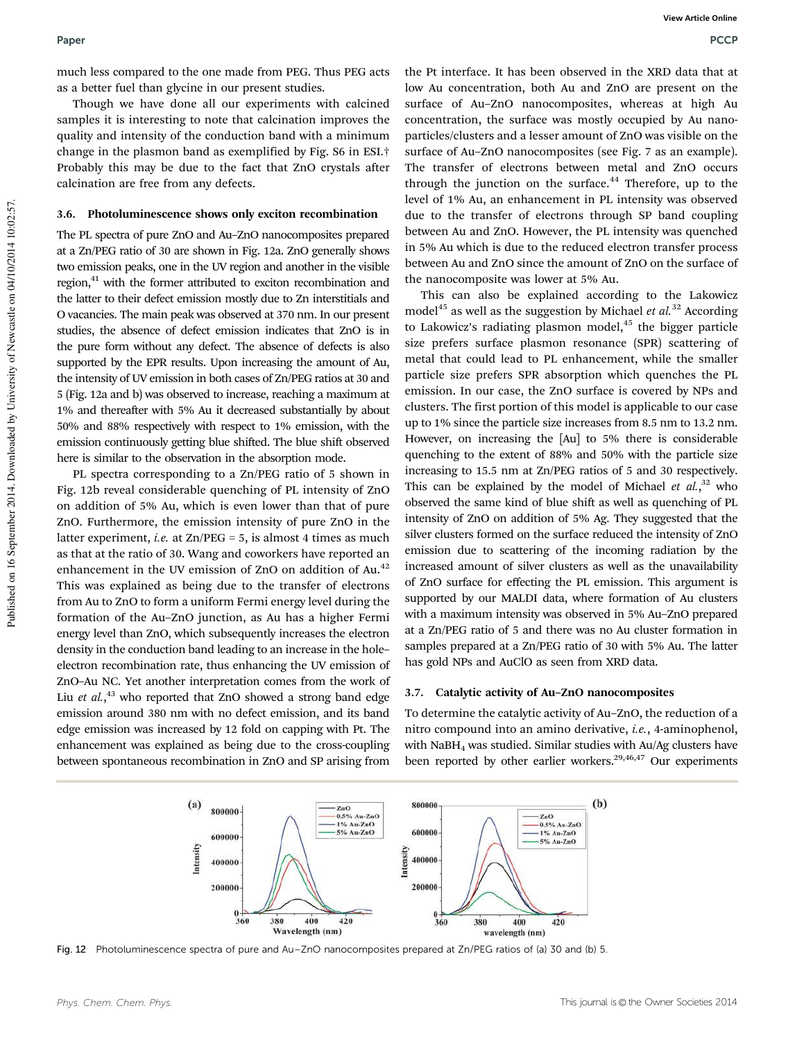much less compared to the one made from PEG. Thus PEG acts as a better fuel than glycine in our present studies.

Though we have done all our experiments with calcined samples it is interesting to note that calcination improves the quality and intensity of the conduction band with a minimum change in the plasmon band as exemplified by Fig. S6 in ESI.† Probably this may be due to the fact that ZnO crystals after calcination are free from any defects.

#### 3.6. Photoluminescence shows only exciton recombination

The PL spectra of pure ZnO and Au–ZnO nanocomposites prepared at a Zn/PEG ratio of 30 are shown in Fig. 12a. ZnO generally shows two emission peaks, one in the UV region and another in the visible region,<sup>41</sup> with the former attributed to exciton recombination and the latter to their defect emission mostly due to Zn interstitials and O vacancies. The main peak was observed at 370 nm. In our present studies, the absence of defect emission indicates that ZnO is in the pure form without any defect. The absence of defects is also supported by the EPR results. Upon increasing the amount of Au, the intensity of UV emission in both cases of Zn/PEG ratios at 30 and 5 (Fig. 12a and b) was observed to increase, reaching a maximum at 1% and thereafter with 5% Au it decreased substantially by about 50% and 88% respectively with respect to 1% emission, with the emission continuously getting blue shifted. The blue shift observed here is similar to the observation in the absorption mode.

PL spectra corresponding to a Zn/PEG ratio of 5 shown in Fig. 12b reveal considerable quenching of PL intensity of ZnO on addition of 5% Au, which is even lower than that of pure ZnO. Furthermore, the emission intensity of pure ZnO in the latter experiment, *i.e.* at Zn/PEG = 5, is almost 4 times as much as that at the ratio of 30. Wang and coworkers have reported an enhancement in the UV emission of ZnO on addition of Au.<sup>42</sup> This was explained as being due to the transfer of electrons from Au to ZnO to form a uniform Fermi energy level during the formation of the Au–ZnO junction, as Au has a higher Fermi energy level than ZnO, which subsequently increases the electron density in the conduction band leading to an increase in the hole– electron recombination rate, thus enhancing the UV emission of ZnO–Au NC. Yet another interpretation comes from the work of Liu et al.,<sup>43</sup> who reported that ZnO showed a strong band edge emission around 380 nm with no defect emission, and its band edge emission was increased by 12 fold on capping with Pt. The enhancement was explained as being due to the cross-coupling between spontaneous recombination in ZnO and SP arising from

the Pt interface. It has been observed in the XRD data that at low Au concentration, both Au and ZnO are present on the surface of Au–ZnO nanocomposites, whereas at high Au concentration, the surface was mostly occupied by Au nanoparticles/clusters and a lesser amount of ZnO was visible on the surface of Au–ZnO nanocomposites (see Fig. 7 as an example). The transfer of electrons between metal and ZnO occurs through the junction on the surface.<sup>44</sup> Therefore, up to the level of 1% Au, an enhancement in PL intensity was observed due to the transfer of electrons through SP band coupling between Au and ZnO. However, the PL intensity was quenched in 5% Au which is due to the reduced electron transfer process between Au and ZnO since the amount of ZnO on the surface of the nanocomposite was lower at 5% Au.

This can also be explained according to the Lakowicz model<sup>45</sup> as well as the suggestion by Michael *et al.*<sup>32</sup> According to Lakowicz's radiating plasmon model, $45$  the bigger particle size prefers surface plasmon resonance (SPR) scattering of metal that could lead to PL enhancement, while the smaller particle size prefers SPR absorption which quenches the PL emission. In our case, the ZnO surface is covered by NPs and clusters. The first portion of this model is applicable to our case up to 1% since the particle size increases from 8.5 nm to 13.2 nm. However, on increasing the [Au] to 5% there is considerable quenching to the extent of 88% and 50% with the particle size increasing to 15.5 nm at Zn/PEG ratios of 5 and 30 respectively. This can be explained by the model of Michael et al.,<sup>32</sup> who observed the same kind of blue shift as well as quenching of PL intensity of ZnO on addition of 5% Ag. They suggested that the silver clusters formed on the surface reduced the intensity of ZnO emission due to scattering of the incoming radiation by the increased amount of silver clusters as well as the unavailability of ZnO surface for effecting the PL emission. This argument is supported by our MALDI data, where formation of Au clusters with a maximum intensity was observed in 5% Au–ZnO prepared at a Zn/PEG ratio of 5 and there was no Au cluster formation in samples prepared at a Zn/PEG ratio of 30 with 5% Au. The latter has gold NPs and AuClO as seen from XRD data.

#### 3.7. Catalytic activity of Au–ZnO nanocomposites

To determine the catalytic activity of Au–ZnO, the reduction of a nitro compound into an amino derivative, *i.e.*, 4-aminophenol, with NaBH<sup>4</sup> was studied. Similar studies with Au/Ag clusters have been reported by other earlier workers. $29,46,47$  Our experiments



Fig. 12 Photoluminescence spectra of pure and Au–ZnO nanocomposites prepared at Zn/PEG ratios of (a) 30 and (b) 5.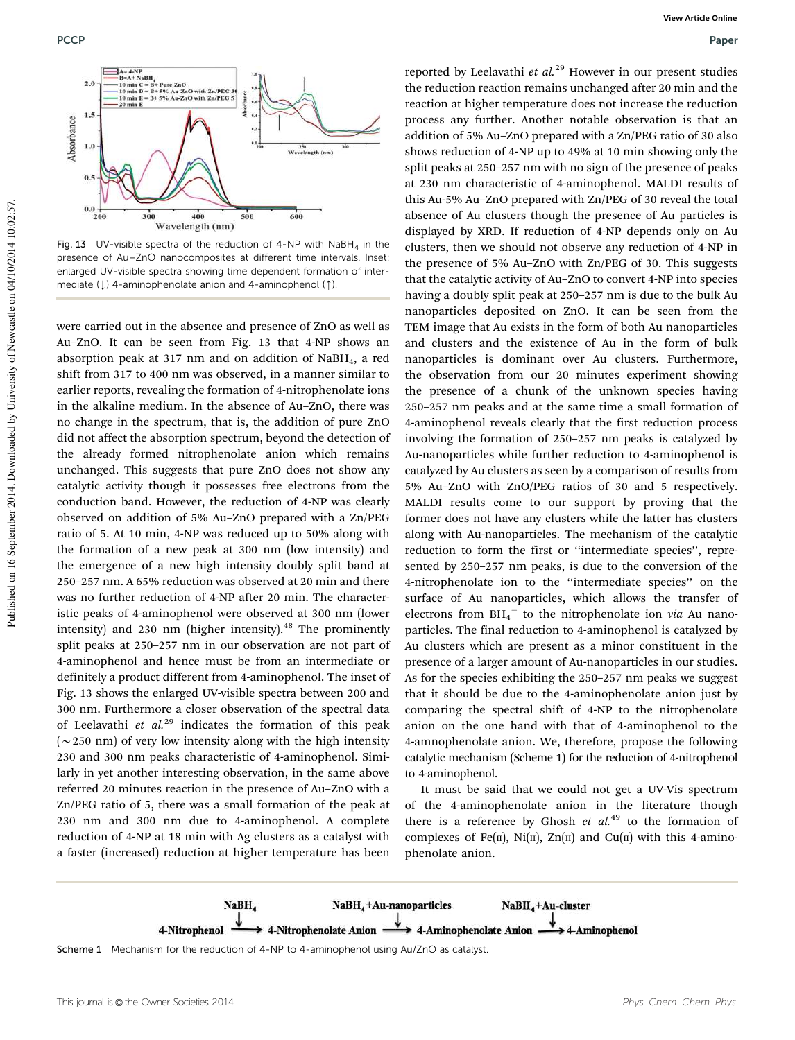

Fig. 13 UV-visible spectra of the reduction of 4-NP with  $NabH_4$  in the presence of Au–ZnO nanocomposites at different time intervals. Inset: enlarged UV-visible spectra showing time dependent formation of intermediate  $(l)$  4-aminophenolate anion and 4-aminophenol (1).

were carried out in the absence and presence of ZnO as well as Au–ZnO. It can be seen from Fig. 13 that 4-NP shows an absorption peak at 317 nm and on addition of NaBH4, a red shift from 317 to 400 nm was observed, in a manner similar to earlier reports, revealing the formation of 4-nitrophenolate ions in the alkaline medium. In the absence of Au–ZnO, there was no change in the spectrum, that is, the addition of pure ZnO did not affect the absorption spectrum, beyond the detection of the already formed nitrophenolate anion which remains unchanged. This suggests that pure ZnO does not show any catalytic activity though it possesses free electrons from the conduction band. However, the reduction of 4-NP was clearly observed on addition of 5% Au–ZnO prepared with a Zn/PEG ratio of 5. At 10 min, 4-NP was reduced up to 50% along with the formation of a new peak at 300 nm (low intensity) and the emergence of a new high intensity doubly split band at 250–257 nm. A 65% reduction was observed at 20 min and there was no further reduction of 4-NP after 20 min. The characteristic peaks of 4-aminophenol were observed at 300 nm (lower intensity) and 230 nm (higher intensity). $48$  The prominently split peaks at 250–257 nm in our observation are not part of 4-aminophenol and hence must be from an intermediate or definitely a product different from 4-aminophenol. The inset of Fig. 13 shows the enlarged UV-visible spectra between 200 and 300 nm. Furthermore a closer observation of the spectral data of Leelavathi *et al.*<sup>29</sup> indicates the formation of this peak ( $\sim$  250 nm) of very low intensity along with the high intensity 230 and 300 nm peaks characteristic of 4-aminophenol. Similarly in yet another interesting observation, in the same above referred 20 minutes reaction in the presence of Au–ZnO with a Zn/PEG ratio of 5, there was a small formation of the peak at 230 nm and 300 nm due to 4-aminophenol. A complete reduction of 4-NP at 18 min with Ag clusters as a catalyst with a faster (increased) reduction at higher temperature has been

reported by Leelavathi *et al.*<sup>29</sup> However in our present studies the reduction reaction remains unchanged after 20 min and the reaction at higher temperature does not increase the reduction process any further. Another notable observation is that an addition of 5% Au–ZnO prepared with a Zn/PEG ratio of 30 also shows reduction of 4-NP up to 49% at 10 min showing only the split peaks at 250–257 nm with no sign of the presence of peaks at 230 nm characteristic of 4-aminophenol. MALDI results of this Au-5% Au–ZnO prepared with Zn/PEG of 30 reveal the total absence of Au clusters though the presence of Au particles is displayed by XRD. If reduction of 4-NP depends only on Au clusters, then we should not observe any reduction of 4-NP in the presence of 5% Au–ZnO with Zn/PEG of 30. This suggests that the catalytic activity of Au–ZnO to convert 4-NP into species having a doubly split peak at 250–257 nm is due to the bulk Au nanoparticles deposited on ZnO. It can be seen from the TEM image that Au exists in the form of both Au nanoparticles and clusters and the existence of Au in the form of bulk nanoparticles is dominant over Au clusters. Furthermore, the observation from our 20 minutes experiment showing the presence of a chunk of the unknown species having 250–257 nm peaks and at the same time a small formation of 4-aminophenol reveals clearly that the first reduction process involving the formation of 250–257 nm peaks is catalyzed by Au-nanoparticles while further reduction to 4-aminophenol is catalyzed by Au clusters as seen by a comparison of results from 5% Au–ZnO with ZnO/PEG ratios of 30 and 5 respectively. MALDI results come to our support by proving that the former does not have any clusters while the latter has clusters along with Au-nanoparticles. The mechanism of the catalytic reduction to form the first or ''intermediate species'', represented by 250–257 nm peaks, is due to the conversion of the 4-nitrophenolate ion to the ''intermediate species'' on the surface of Au nanoparticles, which allows the transfer of electrons from  $BH_4^-$  to the nitrophenolate ion *via* Au nanoparticles. The final reduction to 4-aminophenol is catalyzed by Au clusters which are present as a minor constituent in the presence of a larger amount of Au-nanoparticles in our studies. As for the species exhibiting the 250–257 nm peaks we suggest that it should be due to the 4-aminophenolate anion just by comparing the spectral shift of 4-NP to the nitrophenolate anion on the one hand with that of 4-aminophenol to the 4-amnophenolate anion. We, therefore, propose the following catalytic mechanism (Scheme 1) for the reduction of 4-nitrophenol to 4-aminophenol.

It must be said that we could not get a UV-Vis spectrum of the 4-aminophenolate anion in the literature though there is a reference by Ghosh *et al.*<sup>49</sup> to the formation of complexes of Fe(II), Ni(II), Zn(II) and Cu(II) with this 4-aminophenolate anion.



Scheme 1 Mechanism for the reduction of 4-NP to 4-aminophenol using Au/ZnO as catalyst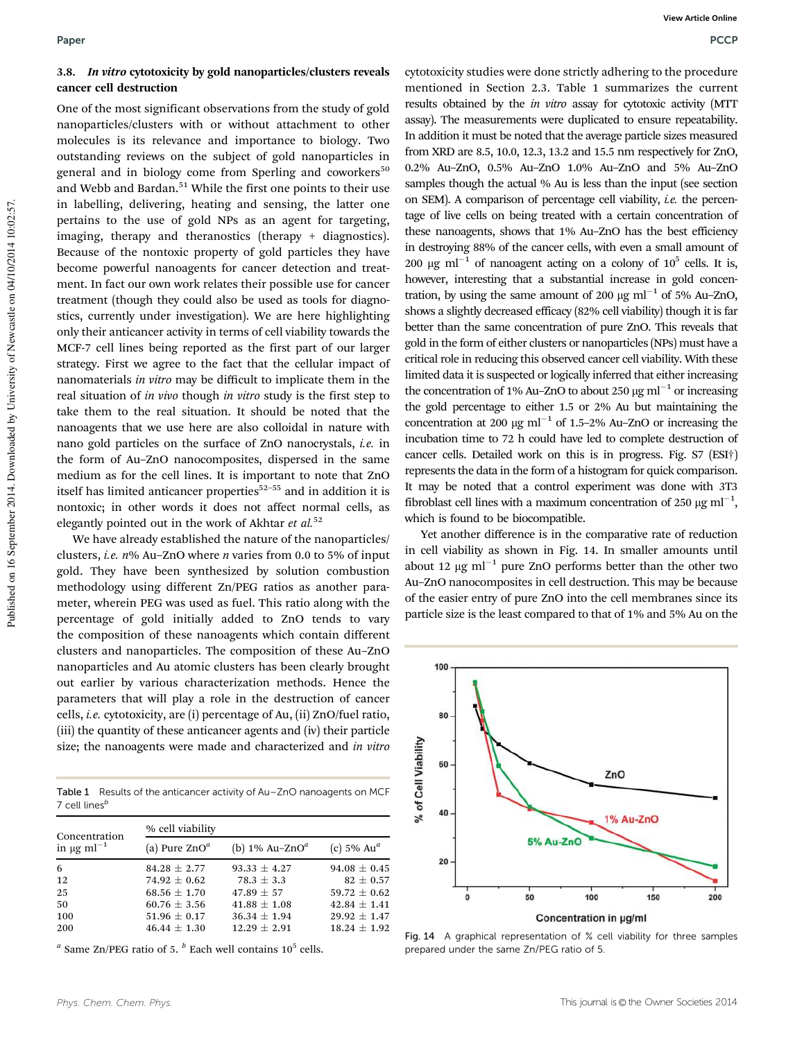#### 3.8. In vitro cytotoxicity by gold nanoparticles/clusters reveals cancer cell destruction

One of the most significant observations from the study of gold nanoparticles/clusters with or without attachment to other molecules is its relevance and importance to biology. Two outstanding reviews on the subject of gold nanoparticles in general and in biology come from Sperling and coworkers<sup>50</sup> and Webb and Bardan.<sup>51</sup> While the first one points to their use in labelling, delivering, heating and sensing, the latter one pertains to the use of gold NPs as an agent for targeting, imaging, therapy and theranostics (therapy + diagnostics). Because of the nontoxic property of gold particles they have become powerful nanoagents for cancer detection and treatment. In fact our own work relates their possible use for cancer treatment (though they could also be used as tools for diagnostics, currently under investigation). We are here highlighting only their anticancer activity in terms of cell viability towards the MCF-7 cell lines being reported as the first part of our larger strategy. First we agree to the fact that the cellular impact of nanomaterials *in vitro* may be difficult to implicate them in the real situation of *in vivo* though *in vitro* study is the first step to take them to the real situation. It should be noted that the nanoagents that we use here are also colloidal in nature with nano gold particles on the surface of ZnO nanocrystals, *i.e.* in the form of Au–ZnO nanocomposites, dispersed in the same medium as for the cell lines. It is important to note that ZnO itself has limited anticancer properties $52-55$  and in addition it is nontoxic; in other words it does not affect normal cells, as elegantly pointed out in the work of Akhtar *et al.*<sup>52</sup>

We have already established the nature of the nanoparticles/ clusters, *i.e. n*% Au–ZnO where *n* varies from 0.0 to 5% of input gold. They have been synthesized by solution combustion methodology using different Zn/PEG ratios as another parameter, wherein PEG was used as fuel. This ratio along with the percentage of gold initially added to ZnO tends to vary the composition of these nanoagents which contain different clusters and nanoparticles. The composition of these Au–ZnO nanoparticles and Au atomic clusters has been clearly brought out earlier by various characterization methods. Hence the parameters that will play a role in the destruction of cancer cells, *i.e.* cytotoxicity, are (i) percentage of Au, (ii) ZnO/fuel ratio, (iii) the quantity of these anticancer agents and (iv) their particle size; the nanoagents were made and characterized and *in vitro*

Table 1 Results of the anticancer activity of Au-ZnO nanoagents on MCF  $7$  cell lines<sup>b</sup>

| Concentration<br>in $\mu$ g m $l^{-1}$ | % cell viability |                                            |                           |  |
|----------------------------------------|------------------|--------------------------------------------|---------------------------|--|
|                                        | (a) Pure $ZnO^a$ | (b) $1\%$ Au-ZnO <sup><math>a</math></sup> | (c) $5\%$ Au <sup>a</sup> |  |
| 6                                      | $84.28 \pm 2.77$ | $93.33 \pm 4.27$                           | $94.08 \pm 0.45$          |  |
| 12                                     | $74.92 + 0.62$   | $78.3 + 3.3$                               | $82 \pm 0.57$             |  |
| 25                                     | $68.56 + 1.70$   | $47.89 \pm 57$                             | $59.72 \pm 0.62$          |  |
| 50                                     | $60.76 \pm 3.56$ | $41.88 \pm 1.08$                           | $42.84 \pm 1.41$          |  |
| 100                                    | 51.96 $\pm$ 0.17 | $36.34 \pm 1.94$                           | $29.92 \pm 1.47$          |  |
| 200                                    | $46.44 \pm 1.30$ | $12.29 + 2.91$                             | $18.24 \pm 1.92$          |  |

<sup>*a*</sup> Same Zn/PEG ratio of 5. <sup>*b*</sup> Each well contains 10<sup>5</sup> cells.

cytotoxicity studies were done strictly adhering to the procedure mentioned in Section 2.3. Table 1 summarizes the current results obtained by the *in vitro* assay for cytotoxic activity (MTT assay). The measurements were duplicated to ensure repeatability. In addition it must be noted that the average particle sizes measured from XRD are 8.5, 10.0, 12.3, 13.2 and 15.5 nm respectively for ZnO, 0.2% Au–ZnO, 0.5% Au–ZnO 1.0% Au–ZnO and 5% Au–ZnO samples though the actual % Au is less than the input (see section on SEM). A comparison of percentage cell viability, *i.e.* the percentage of live cells on being treated with a certain concentration of these nanoagents, shows that 1% Au–ZnO has the best efficiency in destroying 88% of the cancer cells, with even a small amount of 200 µg ml<sup>-1</sup> of nanoagent acting on a colony of  $10^5$  cells. It is, however, interesting that a substantial increase in gold concentration, by using the same amount of 200  $\mu$ g ml<sup>-1</sup> of 5% Au-ZnO, shows a slightly decreased efficacy (82% cell viability) though it is far better than the same concentration of pure ZnO. This reveals that gold in the form of either clusters or nanoparticles (NPs) must have a critical role in reducing this observed cancer cell viability. With these limited data it is suspected or logically inferred that either increasing the concentration of 1% Au-ZnO to about 250  $\mu$ g ml<sup>-1</sup> or increasing the gold percentage to either 1.5 or 2% Au but maintaining the concentration at 200  $\mu$ g ml<sup>-1</sup> of 1.5-2% Au-ZnO or increasing the incubation time to 72 h could have led to complete destruction of cancer cells. Detailed work on this is in progress. Fig. S7 (ESI†) represents the data in the form of a histogram for quick comparison. It may be noted that a control experiment was done with 3T3 fibroblast cell lines with a maximum concentration of 250  $\mu$ g ml<sup>-1</sup>, which is found to be biocompatible.

Yet another difference is in the comparative rate of reduction in cell viability as shown in Fig. 14. In smaller amounts until about 12  $\mu$ g ml<sup>-1</sup> pure ZnO performs better than the other two Au–ZnO nanocomposites in cell destruction. This may be because of the easier entry of pure ZnO into the cell membranes since its particle size is the least compared to that of 1% and 5% Au on the



Fig. 14 A graphical representation of % cell viability for three samples prepared under the same Zn/PEG ratio of 5.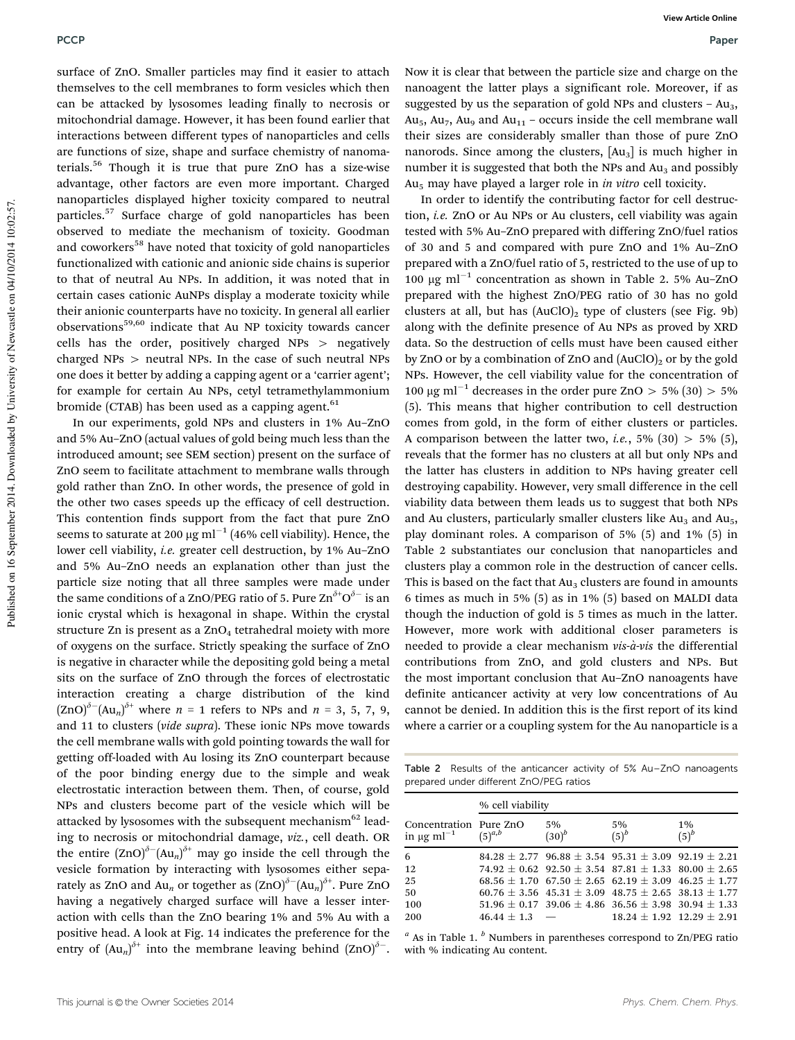surface of ZnO. Smaller particles may find it easier to attach themselves to the cell membranes to form vesicles which then can be attacked by lysosomes leading finally to necrosis or mitochondrial damage. However, it has been found earlier that interactions between different types of nanoparticles and cells are functions of size, shape and surface chemistry of nanomaterials.<sup>56</sup> Though it is true that pure ZnO has a size-wise advantage, other factors are even more important. Charged nanoparticles displayed higher toxicity compared to neutral particles.<sup>57</sup> Surface charge of gold nanoparticles has been observed to mediate the mechanism of toxicity. Goodman and coworkers<sup>58</sup> have noted that toxicity of gold nanoparticles functionalized with cationic and anionic side chains is superior to that of neutral Au NPs. In addition, it was noted that in certain cases cationic AuNPs display a moderate toxicity while their anionic counterparts have no toxicity. In general all earlier observations<sup>59,60</sup> indicate that Au NP toxicity towards cancer cells has the order, positively charged  $NPs$  > negatively charged  $NPs$  > neutral NPs. In the case of such neutral NPs one does it better by adding a capping agent or a 'carrier agent'; for example for certain Au NPs, cetyl tetramethylammonium bromide (CTAB) has been used as a capping agent. $61$ 

In our experiments, gold NPs and clusters in 1% Au–ZnO and 5% Au–ZnO (actual values of gold being much less than the introduced amount; see SEM section) present on the surface of ZnO seem to facilitate attachment to membrane walls through gold rather than ZnO. In other words, the presence of gold in the other two cases speeds up the efficacy of cell destruction. This contention finds support from the fact that pure ZnO seems to saturate at 200  $\mu$ g ml<sup>-1</sup> (46% cell viability). Hence, the lower cell viability, *i.e.* greater cell destruction, by 1% Au–ZnO and 5% Au–ZnO needs an explanation other than just the particle size noting that all three samples were made under the same conditions of a ZnO/PEG ratio of 5. Pure  $\text{Zn}^{\delta^+} \text{O}^{\delta^-}$  is an ionic crystal which is hexagonal in shape. Within the crystal structure Zn is present as a  $ZnO<sub>4</sub>$  tetrahedral moiety with more of oxygens on the surface. Strictly speaking the surface of ZnO is negative in character while the depositing gold being a metal sits on the surface of ZnO through the forces of electrostatic interaction creating a charge distribution of the kind  $(ZnO)^{\delta-}(Au_n)^{\delta+}$  where  $n = 1$  refers to NPs and  $n = 3, 5, 7, 9$ , and 11 to clusters (*vide supra*). These ionic NPs move towards the cell membrane walls with gold pointing towards the wall for getting off-loaded with Au losing its ZnO counterpart because of the poor binding energy due to the simple and weak electrostatic interaction between them. Then, of course, gold NPs and clusters become part of the vesicle which will be attacked by lysosomes with the subsequent mechanism<sup>62</sup> leading to necrosis or mitochondrial damage, *viz.*, cell death. OR the entire  $(2nO)^{\delta-}(Au_n)^{\delta+}$  may go inside the cell through the vesicle formation by interacting with lysosomes either separately as ZnO and Au<sub>n</sub> or together as  $(\text{ZnO})^{\delta-}(\text{Au}_n)^{\delta+}$ . Pure ZnO having a negatively charged surface will have a lesser interaction with cells than the ZnO bearing 1% and 5% Au with a positive head. A look at Fig. 14 indicates the preference for the entry of  $(Au_n)^{\delta^+}$  into the membrane leaving behind  $(ZnO)^{\delta^-}$ .

Now it is clear that between the particle size and charge on the nanoagent the latter plays a significant role. Moreover, if as suggested by us the separation of gold NPs and clusters  $- Au<sub>3</sub>$ ,  $Au<sub>5</sub>$ ,  $Au<sub>7</sub>$ ,  $Au<sub>9</sub>$  and  $Au<sub>11</sub>$  – occurs inside the cell membrane wall their sizes are considerably smaller than those of pure ZnO nanorods. Since among the clusters,  $[Au_3]$  is much higher in number it is suggested that both the NPs and  $Au<sub>3</sub>$  and possibly Au<sup>5</sup> may have played a larger role in *in vitro* cell toxicity.

In order to identify the contributing factor for cell destruction, *i.e.* ZnO or Au NPs or Au clusters, cell viability was again tested with 5% Au–ZnO prepared with differing ZnO/fuel ratios of 30 and 5 and compared with pure ZnO and 1% Au–ZnO prepared with a ZnO/fuel ratio of 5, restricted to the use of up to  $100 \text{ µg ml}^{-1}$  concentration as shown in Table 2. 5% Au-ZnO prepared with the highest ZnO/PEG ratio of 30 has no gold clusters at all, but has  $(AuClO)_2$  type of clusters (see Fig. 9b) along with the definite presence of Au NPs as proved by XRD data. So the destruction of cells must have been caused either by ZnO or by a combination of ZnO and  $(AuClO)_2$  or by the gold NPs. However, the cell viability value for the concentration of 100 µg ml<sup>-1</sup> decreases in the order pure ZnO > 5% (30) > 5% (5). This means that higher contribution to cell destruction comes from gold, in the form of either clusters or particles. A comparison between the latter two, *i.e.*,  $5\%$  (30)  $> 5\%$  (5), reveals that the former has no clusters at all but only NPs and the latter has clusters in addition to NPs having greater cell destroying capability. However, very small difference in the cell viability data between them leads us to suggest that both NPs and Au clusters, particularly smaller clusters like  $Au_3$  and  $Au_5$ , play dominant roles. A comparison of 5% (5) and 1% (5) in Table 2 substantiates our conclusion that nanoparticles and clusters play a common role in the destruction of cancer cells. This is based on the fact that  $Au<sub>3</sub>$  clusters are found in amounts 6 times as much in 5% (5) as in 1% (5) based on MALDI data though the induction of gold is 5 times as much in the latter. However, more work with additional closer parameters is needed to provide a clear mechanism *vis-a`-vis* the differential contributions from ZnO, and gold clusters and NPs. But the most important conclusion that Au–ZnO nanoagents have definite anticancer activity at very low concentrations of Au cannot be denied. In addition this is the first report of its kind where a carrier or a coupling system for the Au nanoparticle is a

Table 2 Results of the anticancer activity of 5% Au–ZnO nanoagents prepared under different ZnO/PEG ratios

|                                                       | % cell viability |                                                                     |                                   |               |  |
|-------------------------------------------------------|------------------|---------------------------------------------------------------------|-----------------------------------|---------------|--|
| Concentration Pure ZnO<br>in $\mu$ g ml <sup>-1</sup> | $(5)^{a,b}$      | 5%<br>$(30)^{b}$                                                    | 5%<br>$(5)^b$                     | 1%<br>$(5)^b$ |  |
| 6                                                     |                  | $84.28 \pm 2.77$ 96.88 $\pm$ 3.54 95.31 $\pm$ 3.09 92.19 $\pm$ 2.21 |                                   |               |  |
| 12                                                    |                  | $74.92 + 0.62$ $92.50 + 3.54$ $87.81 + 1.33$ $80.00 + 2.65$         |                                   |               |  |
| 25                                                    |                  | $68.56 \pm 1.70$ $67.50 \pm 2.65$ $62.19 \pm 3.09$ $46.25 \pm 1.77$ |                                   |               |  |
| 50                                                    |                  | $60.76 + 3.56$ $45.31 + 3.09$ $48.75 + 2.65$ $38.13 + 1.77$         |                                   |               |  |
| 100                                                   |                  | $51.96 \pm 0.17$ 39.06 $\pm$ 4.86 36.56 $\pm$ 3.98 30.94 $\pm$ 1.33 |                                   |               |  |
| 200                                                   | $46.44 \pm 1.3$  |                                                                     | $18.24 \pm 1.92$ $12.29 \pm 2.91$ |               |  |

*a* As in Table 1. *<sup>b</sup>* Numbers in parentheses correspond to Zn/PEG ratio with % indicating Au content.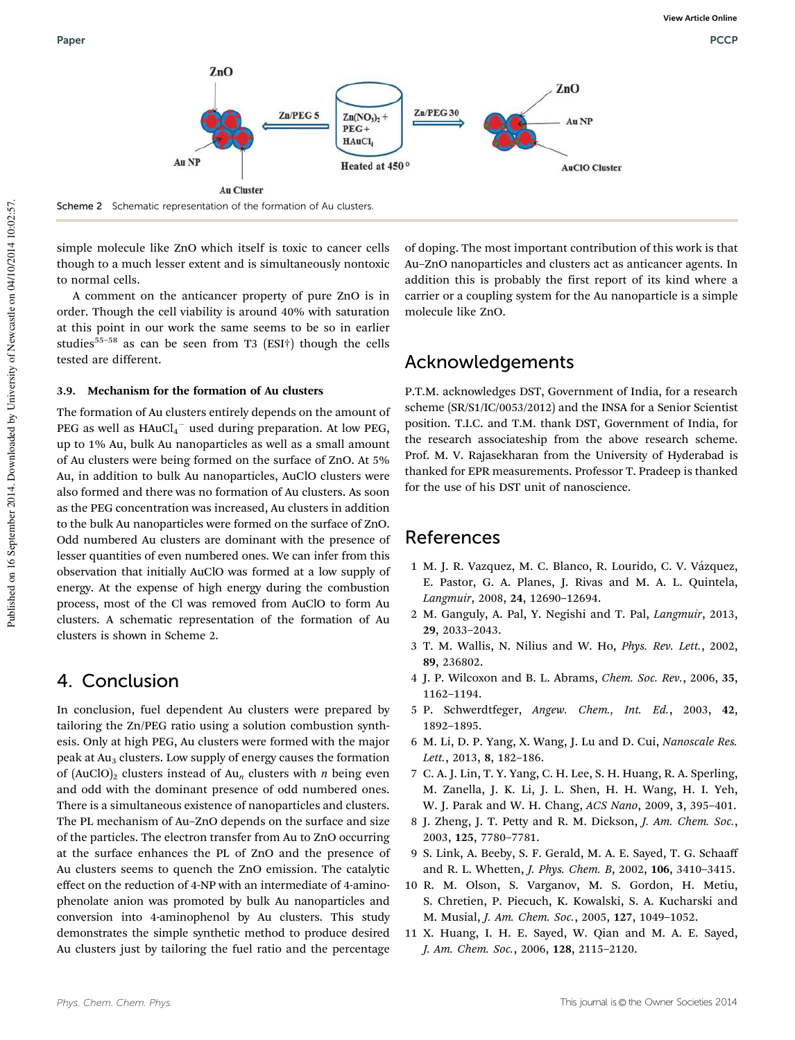

Scheme 2 Schematic representation of the formation of Au clusters.

simple molecule like ZnO which itself is toxic to cancer cells though to a much lesser extent and is simultaneously nontoxic to normal cells.

A comment on the anticancer property of pure ZnO is in order. Though the cell viability is around 40% with saturation at this point in our work the same seems to be so in earlier studies<sup>55–58</sup> as can be seen from T3 (ESI<sup>†</sup>) though the cells tested are different.

#### 3.9. Mechanism for the formation of Au clusters

The formation of Au clusters entirely depends on the amount of PEG as well as  $HAuCl_4^-$  used during preparation. At low PEG, up to 1% Au, bulk Au nanoparticles as well as a small amount of Au clusters were being formed on the surface of ZnO. At 5% Au, in addition to bulk Au nanoparticles, AuClO clusters were also formed and there was no formation of Au clusters. As soon as the PEG concentration was increased, Au clusters in addition to the bulk Au nanoparticles were formed on the surface of ZnO. Odd numbered Au clusters are dominant with the presence of lesser quantities of even numbered ones. We can infer from this observation that initially AuClO was formed at a low supply of energy. At the expense of high energy during the combustion process, most of the Cl was removed from AuClO to form Au clusters. A schematic representation of the formation of Au clusters is shown in Scheme 2.

## 4. Conclusion

In conclusion, fuel dependent Au clusters were prepared by tailoring the Zn/PEG ratio using a solution combustion synthesis. Only at high PEG, Au clusters were formed with the major peak at Au<sub>3</sub> clusters. Low supply of energy causes the formation of  $(AuClO)_2$  clusters instead of  $Au_n$  clusters with *n* being even and odd with the dominant presence of odd numbered ones. There is a simultaneous existence of nanoparticles and clusters. The PL mechanism of Au–ZnO depends on the surface and size of the particles. The electron transfer from Au to ZnO occurring at the surface enhances the PL of ZnO and the presence of Au clusters seems to quench the ZnO emission. The catalytic effect on the reduction of 4-NP with an intermediate of 4-aminophenolate anion was promoted by bulk Au nanoparticles and conversion into 4-aminophenol by Au clusters. This study demonstrates the simple synthetic method to produce desired Au clusters just by tailoring the fuel ratio and the percentage

of doping. The most important contribution of this work is that Au–ZnO nanoparticles and clusters act as anticancer agents. In addition this is probably the first report of its kind where a carrier or a coupling system for the Au nanoparticle is a simple molecule like ZnO.

# Acknowledgements

P.T.M. acknowledges DST, Government of India, for a research scheme (SR/S1/IC/0053/2012) and the INSA for a Senior Scientist position. T.I.C. and T.M. thank DST, Government of India, for the research associateship from the above research scheme. Prof. M. V. Rajasekharan from the University of Hyderabad is thanked for EPR measurements. Professor T. Pradeep is thanked for the use of his DST unit of nanoscience.

### References

- 1 M. J. R. Vazquez, M. C. Blanco, R. Lourido, C. V. Vázquez, E. Pastor, G. A. Planes, J. Rivas and M. A. L. Quintela, *Langmuir*, 2008, 24, 12690–12694.
- 2 M. Ganguly, A. Pal, Y. Negishi and T. Pal, *Langmuir*, 2013, 29, 2033–2043.
- 3 T. M. Wallis, N. Nilius and W. Ho, *Phys. Rev. Lett.*, 2002, 89, 236802.
- 4 J. P. Wilcoxon and B. L. Abrams, *Chem. Soc. Rev.*, 2006, 35, 1162–1194.
- 5 P. Schwerdtfeger, *Angew. Chem., Int. Ed.*, 2003, 42, 1892–1895.
- 6 M. Li, D. P. Yang, X. Wang, J. Lu and D. Cui, *Nanoscale Res. Lett.*, 2013, 8, 182–186.
- 7 C. A. J. Lin, T. Y. Yang, C. H. Lee, S. H. Huang, R. A. Sperling, M. Zanella, J. K. Li, J. L. Shen, H. H. Wang, H. I. Yeh, W. J. Parak and W. H. Chang, *ACS Nano*, 2009, 3, 395–401.
- 8 J. Zheng, J. T. Petty and R. M. Dickson, *J. Am. Chem. Soc.*, 2003, 125, 7780–7781.
- 9 S. Link, A. Beeby, S. F. Gerald, M. A. E. Sayed, T. G. Schaaff and R. L. Whetten, *J. Phys. Chem. B*, 2002, 106, 3410–3415.
- 10 R. M. Olson, S. Varganov, M. S. Gordon, H. Metiu, S. Chretien, P. Piecuch, K. Kowalski, S. A. Kucharski and M. Musial, *J. Am. Chem. Soc.*, 2005, 127, 1049–1052.
- 11 X. Huang, I. H. E. Sayed, W. Qian and M. A. E. Sayed, *J. Am. Chem. Soc.*, 2006, 128, 2115–2120.